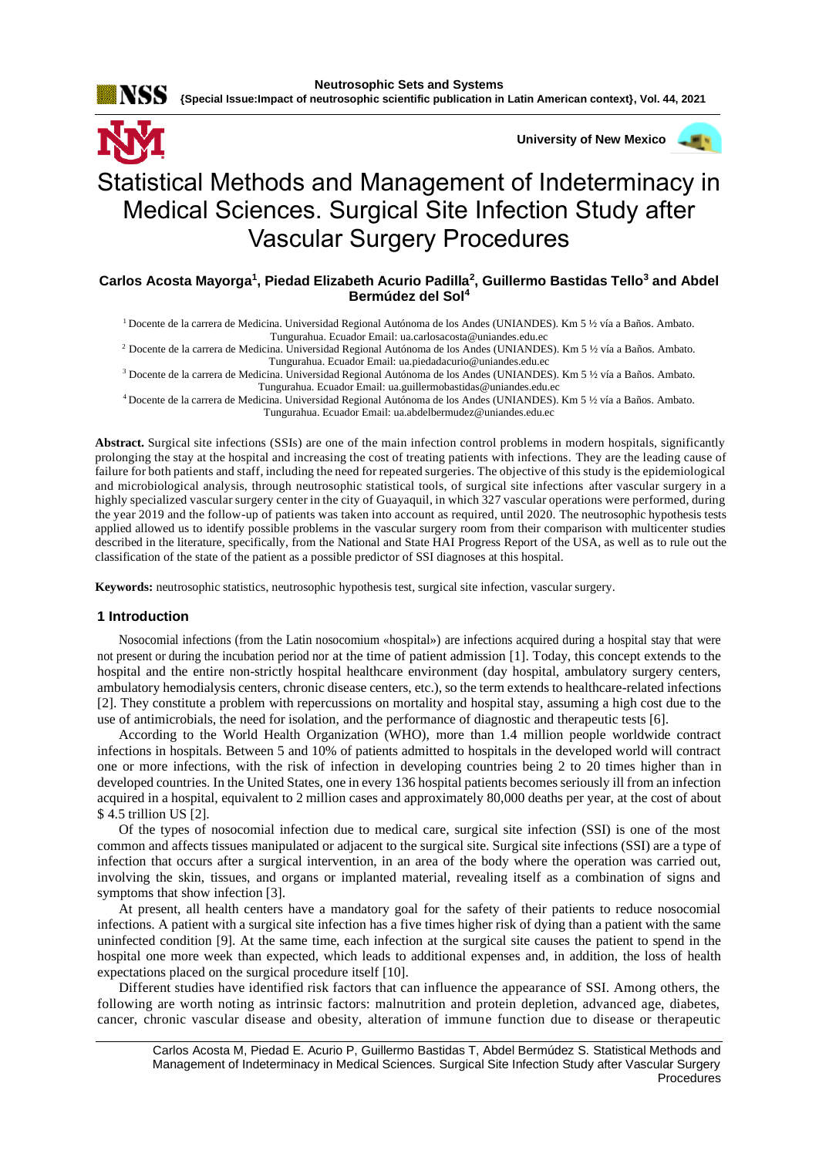

**University of New Mexico** Statistical Methods and Management of Indeterminacy in Medical Sciences. Surgical Site Infection Study after Vascular Surgery Procedures

# **Carlos Acosta Mayorga<sup>1</sup> , Piedad Elizabeth Acurio Padilla<sup>2</sup> , Guillermo Bastidas Tello<sup>3</sup> and Abdel Bermúdez del Sol<sup>4</sup>**

<sup>1</sup>Docente de la carrera de Medicina. Universidad Regional Autónoma de los Andes (UNIANDES). Km 5 ½ vía a Baños. Ambato. Tungurahua. Ecuador Email[: ua.carlosacosta@uniandes.edu.ec](mailto:ua.carlosacosta@uniandes.edu.ec)

<sup>2</sup>Docente de la carrera de Medicina. Universidad Regional Autónoma de los Andes (UNIANDES). Km 5 ½ vía a Baños. Ambato. Tungurahua. Ecuador Email[: ua.piedadacurio@uniandes.edu.ec](mailto:ua.piedadacurio@uniandes.edu.ec)

<sup>3</sup> Docente de la carrera de Medicina. Universidad Regional Autónoma de los Andes (UNIANDES). Km 5 ½ vía a Baños. Ambato. Tungurahua. Ecuador Email[: ua.guillermobastidas@uniandes.edu.ec](mailto:ua.guillermobastidas@uniandes.edu.ec)

<sup>4</sup>Docente de la carrera de Medicina. Universidad Regional Autónoma de los Andes (UNIANDES). Km 5 ½ vía a Baños. Ambato. Tungurahua. Ecuador Email[: ua.abdelbermudez@uniandes.edu.ec](mailto:ua.abdelbermudez@uniandes.edu.ec)

**Abstract.** Surgical site infections (SSIs) are one of the main infection control problems in modern hospitals, significantly prolonging the stay at the hospital and increasing the cost of treating patients with infections. They are the leading cause of failure for both patients and staff, including the need for repeated surgeries. The objective of this study is the epidemiological and microbiological analysis, through neutrosophic statistical tools, of surgical site infections after vascular surgery in a highly specialized vascular surgery center in the city of Guayaquil, in which 327 vascular operations were performed, during the year 2019 and the follow-up of patients was taken into account as required, until 2020. The neutrosophic hypothesis tests applied allowed us to identify possible problems in the vascular surgery room from their comparison with multicenter studies described in the literature, specifically, from the National and State HAI Progress Report of the USA, as well as to rule out the classification of the state of the patient as a possible predictor of SSI diagnoses at this hospital.

**Keywords:** neutrosophic statistics, neutrosophic hypothesis test, surgical site infection, vascular surgery.

## **1 Introduction**

Nosocomial infections (from the Latin nosocomium «hospital») are infections acquired during a hospital stay that were not present or during the incubation period nor at the time of patient admission [1]. Today, this concept extends to the hospital and the entire non-strictly hospital healthcare environment (day hospital, ambulatory surgery centers, ambulatory hemodialysis centers, chronic disease centers, etc.), so the term extends to healthcare-related infections [2]. They constitute a problem with repercussions on mortality and hospital stay, assuming a high cost due to the use of antimicrobials, the need for isolation, and the performance of diagnostic and therapeutic tests [6].

According to the World Health Organization (WHO), more than 1.4 million people worldwide contract infections in hospitals. Between 5 and 10% of patients admitted to hospitals in the developed world will contract one or more infections, with the risk of infection in developing countries being 2 to 20 times higher than in developed countries. In the United States, one in every 136 hospital patients becomes seriously ill from an infection acquired in a hospital, equivalent to 2 million cases and approximately 80,000 deaths per year, at the cost of about \$ 4.5 trillion US [2].

Of the types of nosocomial infection due to medical care, surgical site infection (SSI) is one of the most common and affects tissues manipulated or adjacent to the surgical site. Surgical site infections (SSI) are a type of infection that occurs after a surgical intervention, in an area of the body where the operation was carried out, involving the skin, tissues, and organs or implanted material, revealing itself as a combination of signs and symptoms that show infection [3].

At present, all health centers have a mandatory goal for the safety of their patients to reduce nosocomial infections. A patient with a surgical site infection has a five times higher risk of dying than a patient with the same uninfected condition [9]. At the same time, each infection at the surgical site causes the patient to spend in the hospital one more week than expected, which leads to additional expenses and, in addition, the loss of health expectations placed on the surgical procedure itself [10].

Different studies have identified risk factors that can influence the appearance of SSI. Among others, the following are worth noting as intrinsic factors: malnutrition and protein depletion, advanced age, diabetes, cancer, chronic vascular disease and obesity, alteration of immune function due to disease or therapeutic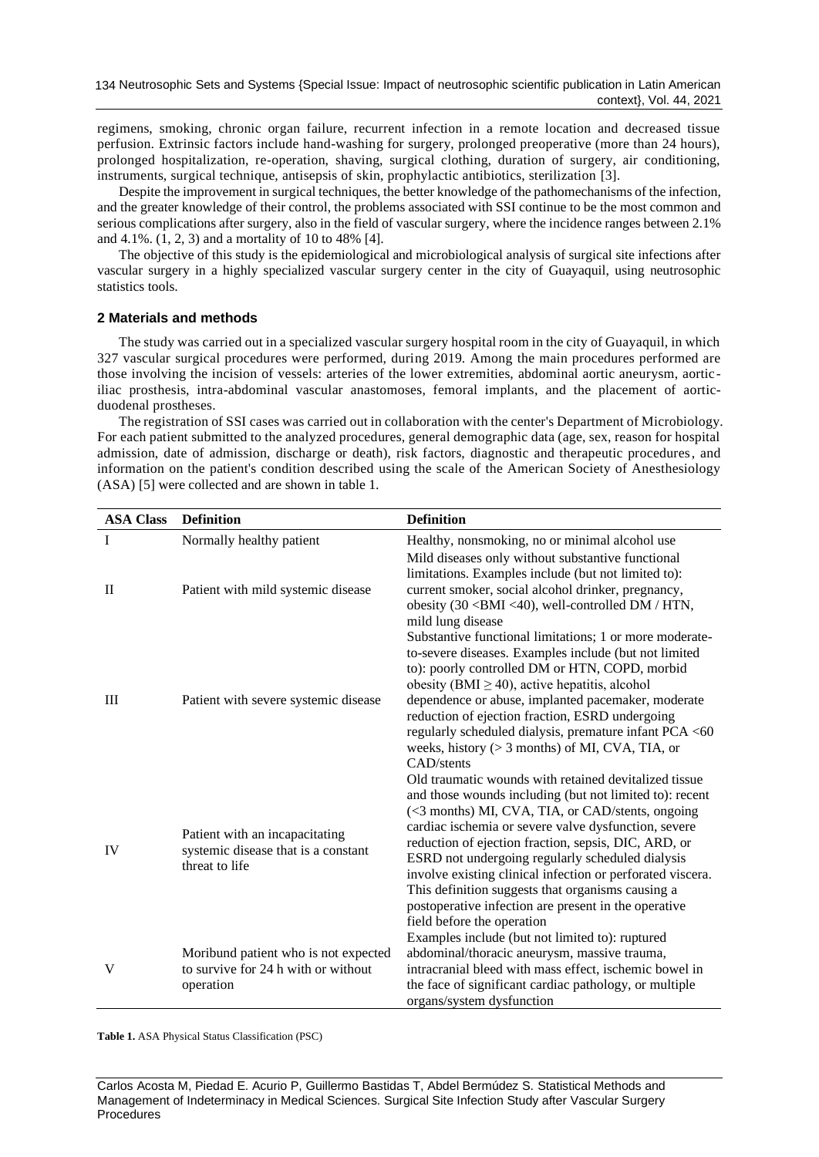regimens, smoking, chronic organ failure, recurrent infection in a remote location and decreased tissue perfusion. Extrinsic factors include hand-washing for surgery, prolonged preoperative (more than 24 hours), prolonged hospitalization, re-operation, shaving, surgical clothing, duration of surgery, air conditioning, instruments, surgical technique, antisepsis of skin, prophylactic antibiotics, sterilization [3].

Despite the improvement in surgical techniques, the better knowledge of the pathomechanisms of the infection, and the greater knowledge of their control, the problems associated with SSI continue to be the most common and serious complications after surgery, also in the field of vascular surgery, where the incidence ranges between 2.1% and 4.1%. (1, 2, 3) and a mortality of 10 to 48% [4].

The objective of this study is the epidemiological and microbiological analysis of surgical site infections after vascular surgery in a highly specialized vascular surgery center in the city of Guayaquil, using neutrosophic statistics tools.

## **2 Materials and methods**

The study was carried out in a specialized vascular surgery hospital room in the city of Guayaquil, in which 327 vascular surgical procedures were performed, during 2019. Among the main procedures performed are those involving the incision of vessels: arteries of the lower extremities, abdominal aortic aneurysm, aortic iliac prosthesis, intra-abdominal vascular anastomoses, femoral implants, and the placement of aorticduodenal prostheses.

The registration of SSI cases was carried out in collaboration with the center's Department of Microbiology. For each patient submitted to the analyzed procedures, general demographic data (age, sex, reason for hospital admission, date of admission, discharge or death), risk factors, diagnostic and therapeutic procedures, and information on the patient's condition described using the scale of the American Society of Anesthesiology (ASA) [5] were collected and are shown in table 1.

| <b>ASA Class</b> | <b>Definition</b>                    | <b>Definition</b>                                                                                                |  |  |  |  |
|------------------|--------------------------------------|------------------------------------------------------------------------------------------------------------------|--|--|--|--|
| $\mathbf I$      | Normally healthy patient             | Healthy, nonsmoking, no or minimal alcohol use                                                                   |  |  |  |  |
|                  |                                      | Mild diseases only without substantive functional                                                                |  |  |  |  |
|                  |                                      | limitations. Examples include (but not limited to):                                                              |  |  |  |  |
| $\mathbf{I}$     | Patient with mild systemic disease   | current smoker, social alcohol drinker, pregnancy,                                                               |  |  |  |  |
|                  |                                      | obesity (30 <bmi <40),="" dm="" htn,<="" td="" well-controlled=""></bmi>                                         |  |  |  |  |
|                  |                                      | mild lung disease                                                                                                |  |  |  |  |
|                  |                                      | Substantive functional limitations; 1 or more moderate-<br>to-severe diseases. Examples include (but not limited |  |  |  |  |
|                  |                                      | to): poorly controlled DM or HTN, COPD, morbid                                                                   |  |  |  |  |
|                  |                                      | obesity (BMI $\geq$ 40), active hepatitis, alcohol                                                               |  |  |  |  |
| III              | Patient with severe systemic disease | dependence or abuse, implanted pacemaker, moderate                                                               |  |  |  |  |
|                  |                                      | reduction of ejection fraction, ESRD undergoing                                                                  |  |  |  |  |
|                  |                                      | regularly scheduled dialysis, premature infant PCA <60                                                           |  |  |  |  |
|                  |                                      | weeks, history $(> 3$ months) of MI, CVA, TIA, or                                                                |  |  |  |  |
|                  |                                      | CAD/stents                                                                                                       |  |  |  |  |
|                  |                                      | Old traumatic wounds with retained devitalized tissue                                                            |  |  |  |  |
|                  |                                      | and those wounds including (but not limited to): recent                                                          |  |  |  |  |
|                  |                                      | (<3 months) MI, CVA, TIA, or CAD/stents, ongoing<br>cardiac ischemia or severe valve dysfunction, severe         |  |  |  |  |
|                  | Patient with an incapacitating       | reduction of ejection fraction, sepsis, DIC, ARD, or                                                             |  |  |  |  |
| IV               | systemic disease that is a constant  | ESRD not undergoing regularly scheduled dialysis                                                                 |  |  |  |  |
|                  | threat to life                       | involve existing clinical infection or perforated viscera.                                                       |  |  |  |  |
|                  |                                      | This definition suggests that organisms causing a                                                                |  |  |  |  |
|                  |                                      | postoperative infection are present in the operative                                                             |  |  |  |  |
|                  |                                      | field before the operation                                                                                       |  |  |  |  |
|                  |                                      | Examples include (but not limited to): ruptured                                                                  |  |  |  |  |
|                  | Moribund patient who is not expected | abdominal/thoracic aneurysm, massive trauma,                                                                     |  |  |  |  |
| V                | to survive for 24 h with or without  | intracranial bleed with mass effect, ischemic bowel in                                                           |  |  |  |  |
|                  | operation                            | the face of significant cardiac pathology, or multiple                                                           |  |  |  |  |
|                  |                                      | organs/system dysfunction                                                                                        |  |  |  |  |

**Table 1.** ASA Physical Status Classification (PSC)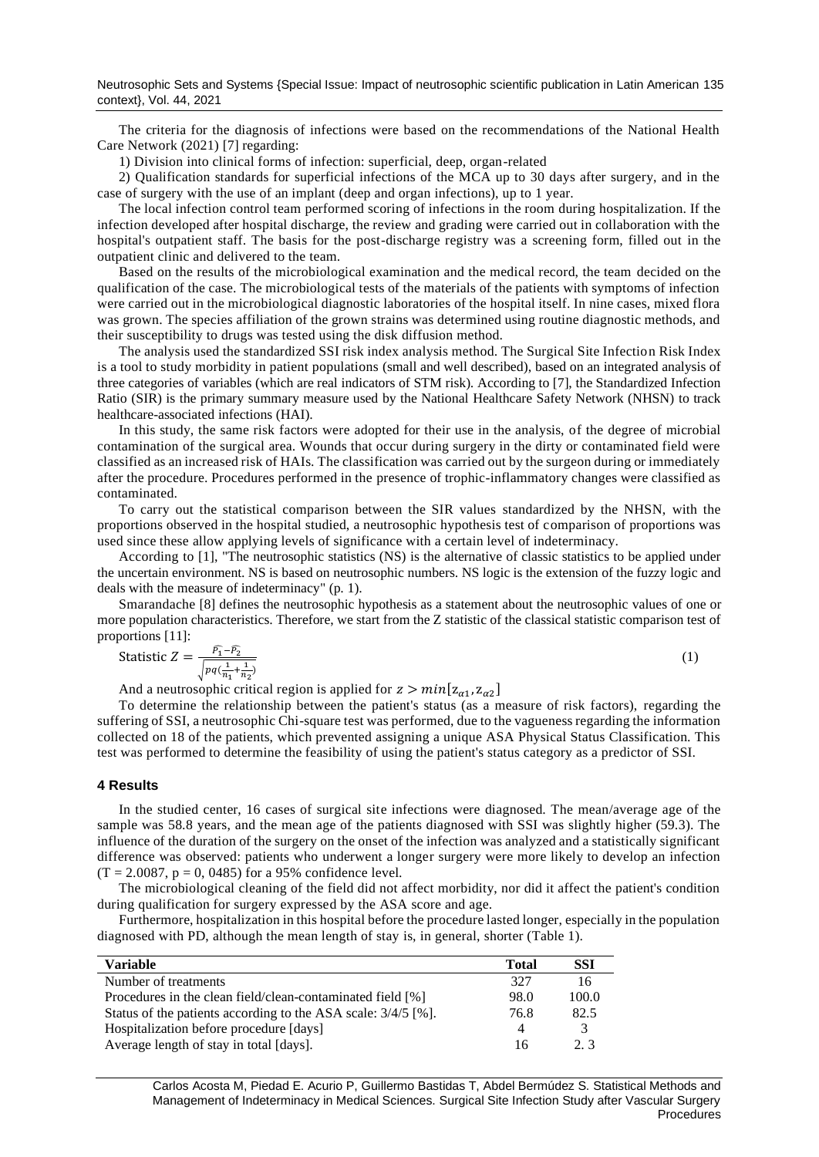The criteria for the diagnosis of infections were based on the recommendations of the National Health Care Network (2021) [7] regarding:

1) Division into clinical forms of infection: superficial, deep, organ-related

2) Qualification standards for superficial infections of the MCA up to 30 days after surgery, and in the case of surgery with the use of an implant (deep and organ infections), up to 1 year.

The local infection control team performed scoring of infections in the room during hospitalization. If the infection developed after hospital discharge, the review and grading were carried out in collaboration with the hospital's outpatient staff. The basis for the post-discharge registry was a screening form, filled out in the outpatient clinic and delivered to the team.

Based on the results of the microbiological examination and the medical record, the team decided on the qualification of the case. The microbiological tests of the materials of the patients with symptoms of infection were carried out in the microbiological diagnostic laboratories of the hospital itself. In nine cases, mixed flora was grown. The species affiliation of the grown strains was determined using routine diagnostic methods, and their susceptibility to drugs was tested using the disk diffusion method.

The analysis used the standardized SSI risk index analysis method. The Surgical Site Infection Risk Index is a tool to study morbidity in patient populations (small and well described), based on an integrated analysis of three categories of variables (which are real indicators of STM risk). According to [7], the Standardized Infection Ratio (SIR) is the primary summary measure used by the National Healthcare Safety Network (NHSN) to track healthcare-associated infections (HAI).

In this study, the same risk factors were adopted for their use in the analysis, of the degree of microbial contamination of the surgical area. Wounds that occur during surgery in the dirty or contaminated field were classified as an increased risk of HAIs. The classification was carried out by the surgeon during or immediately after the procedure. Procedures performed in the presence of trophic-inflammatory changes were classified as contaminated.

To carry out the statistical comparison between the SIR values standardized by the NHSN, with the proportions observed in the hospital studied, a neutrosophic hypothesis test of comparison of proportions was used since these allow applying levels of significance with a certain level of indeterminacy.

According to [1], "The neutrosophic statistics (NS) is the alternative of classic statistics to be applied under the uncertain environment. NS is based on neutrosophic numbers. NS logic is the extension of the fuzzy logic and deals with the measure of indeterminacy" (p. 1).

Smarandache [8] defines the neutrosophic hypothesis as a statement about the neutrosophic values of one or more population characteristics. Therefore, we start from the Z statistic of the classical statistic comparison test of proportions [11]:

(1)

$$
\text{Static } Z = \frac{\overline{P_1} - \overline{P_2}}{\sqrt{pq(\frac{1}{n_1} + \frac{1}{n_2})}}
$$

And a neutrosophic critical region is applied for  $z > min[z_{\alpha 1}, z_{\alpha 2}]$ 

To determine the relationship between the patient's status (as a measure of risk factors), regarding the suffering of SSI, a neutrosophic Chi-square test was performed, due to the vagueness regarding the information collected on 18 of the patients, which prevented assigning a unique ASA Physical Status Classification. This test was performed to determine the feasibility of using the patient's status category as a predictor of SSI.

#### **4 Results**

In the studied center, 16 cases of surgical site infections were diagnosed. The mean/average age of the sample was 58.8 years, and the mean age of the patients diagnosed with SSI was slightly higher (59.3). The influence of the duration of the surgery on the onset of the infection was analyzed and a statistically significant difference was observed: patients who underwent a longer surgery were more likely to develop an infection  $(T = 2.0087, p = 0, 0485)$  for a 95% confidence level.

The microbiological cleaning of the field did not affect morbidity, nor did it affect the patient's condition during qualification for surgery expressed by the ASA score and age.

Furthermore, hospitalization in this hospital before the procedure lasted longer, especially in the population diagnosed with PD, although the mean length of stay is, in general, shorter (Table 1).

| Variable                                                        | <b>Total</b> | SSI           |
|-----------------------------------------------------------------|--------------|---------------|
| Number of treatments                                            | 327          | 16            |
| Procedures in the clean field/clean-contaminated field [%]      | 98.0         | 100.0         |
| Status of the patients according to the ASA scale: $3/4/5$ [%]. | 76.8         | 82.5          |
| Hospitalization before procedure [days]                         | $\Lambda$    | $\mathcal{R}$ |
| Average length of stay in total [days].                         | 16           | 2.3           |

Carlos Acosta M, Piedad E. Acurio P, Guillermo Bastidas T, Abdel Bermúdez S. Statistical Methods and Management of Indeterminacy in Medical Sciences. Surgical Site Infection Study after Vascular Surgery **Procedures**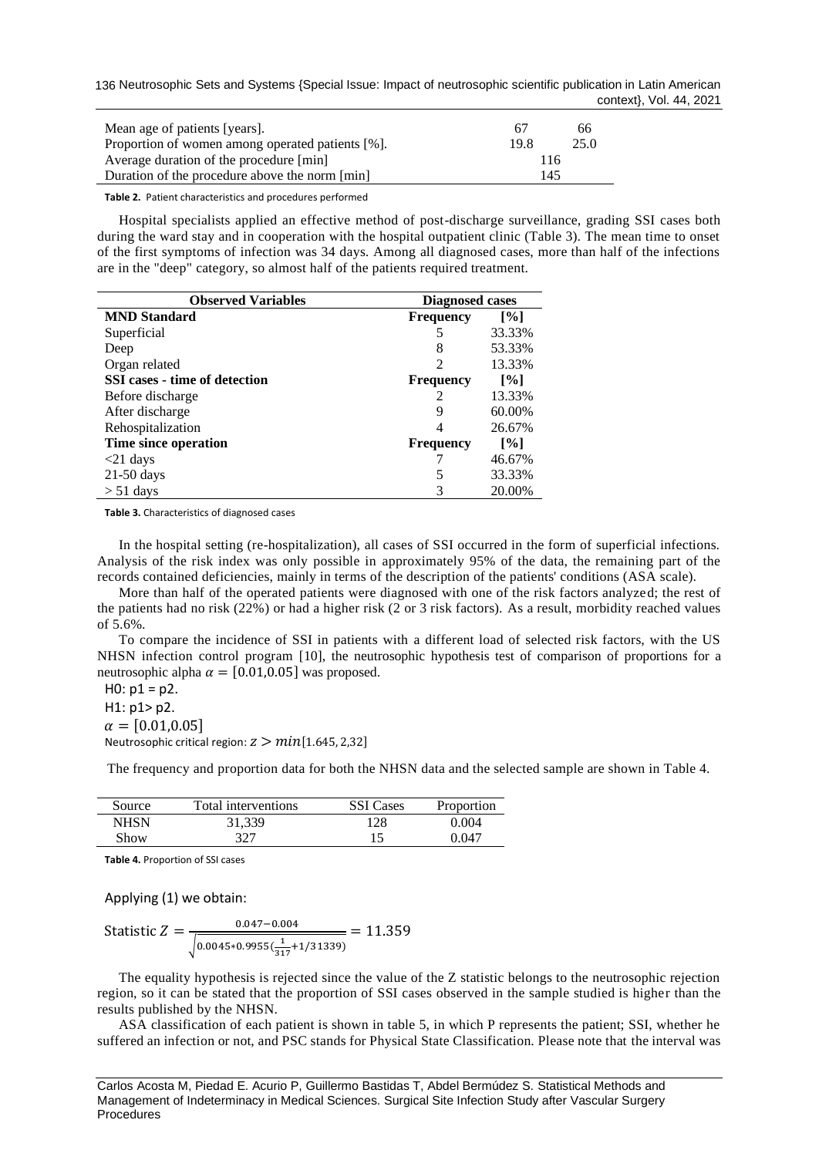136 Neutrosophic Sets and Systems {Special Issue: Impact of neutrosophic scientific publication in Latin American context}, Vol. 44, 2021

| Mean age of patients [years].                    | 67   | 66.  |
|--------------------------------------------------|------|------|
| Proportion of women among operated patients [%]. | 19.8 | 25.0 |
| Average duration of the procedure [min]          | 116  |      |
| Duration of the procedure above the norm [min]   | 145  |      |

**Table 2.** Patient characteristics and procedures performed

Hospital specialists applied an effective method of post-discharge surveillance, grading SSI cases both during the ward stay and in cooperation with the hospital outpatient clinic (Table 3). The mean time to onset of the first symptoms of infection was 34 days. Among all diagnosed cases, more than half of the infections are in the "deep" category, so almost half of the patients required treatment.

| <b>Observed Variables</b>     | <b>Diagnosed cases</b> |                   |  |  |  |
|-------------------------------|------------------------|-------------------|--|--|--|
| <b>MND</b> Standard           | <b>Frequency</b>       | $\lceil\% \rceil$ |  |  |  |
| Superficial                   | 5                      | 33.33%            |  |  |  |
| Deep                          | 8                      | 53.33%            |  |  |  |
| Organ related                 | $\mathfrak{D}$         | 13.33%            |  |  |  |
| SSI cases - time of detection | <b>Frequency</b>       | $\lceil\% \rceil$ |  |  |  |
| Before discharge              | 2                      | 13.33%            |  |  |  |
| After discharge               | 9                      | 60.00%            |  |  |  |
| Rehospitalization             | 4                      | 26.67%            |  |  |  |
| Time since operation          | <b>Frequency</b>       | $\lceil\% \rceil$ |  |  |  |
| $<$ 21 days                   |                        | 46.67%            |  |  |  |
| $21-50$ days                  | 5                      | 33.33%            |  |  |  |
| $> 51$ days                   |                        | 20.00%            |  |  |  |

**Table 3.** Characteristics of diagnosed cases

In the hospital setting (re-hospitalization), all cases of SSI occurred in the form of superficial infections. Analysis of the risk index was only possible in approximately 95% of the data, the remaining part of the records contained deficiencies, mainly in terms of the description of the patients' conditions (ASA scale).

More than half of the operated patients were diagnosed with one of the risk factors analyzed; the rest of the patients had no risk (22%) or had a higher risk (2 or 3 risk factors). As a result, morbidity reached values of 5.6%.

To compare the incidence of SSI in patients with a different load of selected risk factors, with the US NHSN infection control program [10], the neutrosophic hypothesis test of comparison of proportions for a neutrosophic alpha  $\alpha = [0.01, 0.05]$  was proposed.

 $H0: p1 = p2.$ 

H1: p1> p2.

 $\alpha = [0.01, 0.05]$ 

Neutrosophic critical region:  $z > min[1.645, 2.32]$ 

The frequency and proportion data for both the NHSN data and the selected sample are shown in Table 4.

| Source | Total interventions | <b>SSI</b> Cases | Proportion |
|--------|---------------------|------------------|------------|
| NHSN   | 31.339              | 128              | 0.004      |
| Show   | 327                 |                  | በ በ47      |

**Table 4.** Proportion of SSI cases

Applying (1) we obtain:

$$
Statistics Z = \frac{0.047 - 0.004}{\sqrt{0.0045 * 0.9955(\frac{1}{317} + 1/31339)}} = 11.359
$$

The equality hypothesis is rejected since the value of the Z statistic belongs to the neutrosophic rejection region, so it can be stated that the proportion of SSI cases observed in the sample studied is higher than the results published by the NHSN.

ASA classification of each patient is shown in table 5, in which P represents the patient; SSI, whether he suffered an infection or not, and PSC stands for Physical State Classification. Please note that the interval was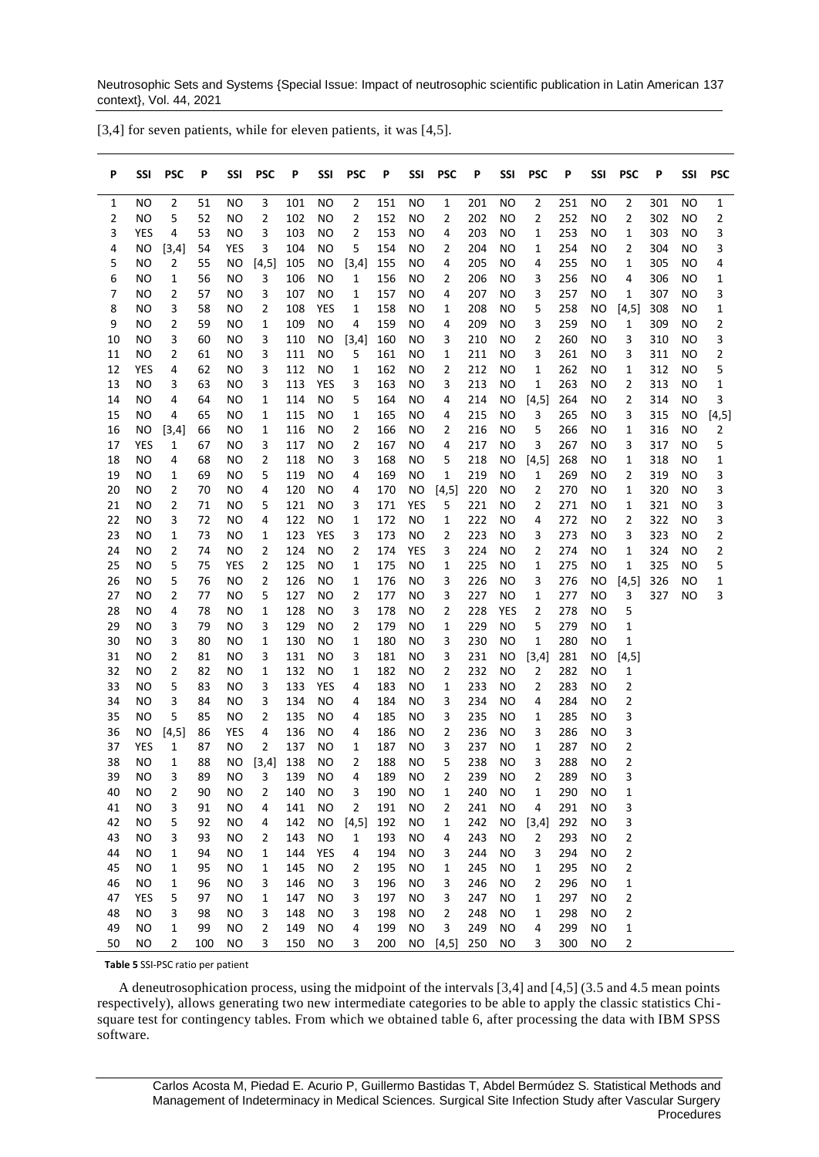Neutrosophic Sets and Systems {Special Issue: Impact of neutrosophic scientific publication in Latin American 137 context}, Vol. 44, 2021

| P        | SSI        | <b>PSC</b>     | P        | SSI        | <b>PSC</b>   | Ρ          | SSI       | <b>PSC</b>     | P          | SSI        | <b>PSC</b>     | P          | SSI       | <b>PSC</b>     | Ρ          | SSI       | <b>PSC</b>       | P          | SSI             | PSC    |
|----------|------------|----------------|----------|------------|--------------|------------|-----------|----------------|------------|------------|----------------|------------|-----------|----------------|------------|-----------|------------------|------------|-----------------|--------|
| 1        | ΝO         | 2              | 51       | ΝO         | 3            | 101        | NO        | $\overline{2}$ | 151        | NO         | 1              | 201        | ΝO        | 2              | 251        | ΝO        | 2                | 301        | NO              | 1      |
| 2        | <b>NO</b>  | 5              | 52       | NO         | 2            | 102        | NO        | 2              | 152        | NO         | 2              | 202        | ΝO        | 2              | 252        | NO        | 2                | 302        | NO              | 2      |
| 3        | YES        | 4              | 53       | NO         | 3            | 103        | NO        | 2              | 153        | <b>NO</b>  | 4              | 203        | NO        | 1              | 253        | <b>NO</b> | 1                | 303        | <b>NO</b>       | 3      |
| 4        | NO.        | $[3,4]$        | 54       | <b>YES</b> | 3            | 104        | <b>NO</b> | 5              | 154        | <b>NO</b>  | 2              | 204        | NO        | 1              | 254        | <b>NO</b> | 2                | 304        | <b>NO</b>       | 3      |
| 5        | NO         | $\overline{2}$ | 55       | <b>NO</b>  | [4,5]        | 105        | ΝO        | [3,4]          | 155        | NO         | 4              | 205        | NO        | 4              | 255        | NO        | 1                | 305        | NO              | 4      |
| 6        | NO         | 1              | 56       | NO         | 3            | 106        | NO        | 1              | 156        | NO         | 2              | 206        | NO        | 3              | 256        | NO        | 4                | 306        | NO              | 1      |
| 7        | NO         | 2              | 57       | <b>NO</b>  | 3            | 107        | NO        | 1              | 157        | NO         | 4              | 207        | NO        | 3              | 257        | NO        | 1                | 307        | NO              | 3      |
| 8        | ΝO         | 3              | 58       | ΝO         | 2            | 108        | YES       | 1              | 158        | NO         | 1              | 208        | ΝO        | 5              | 258        | ΝO        | [4, 5]           | 308        | NO              | 1      |
| 9        | NO         | 2              | 59       | NO         | 1            | 109        | NO        | 4              | 159        | <b>NO</b>  | 4              | 209        | NO        | 3              | 259        | NO        | 1                | 309        | NO              | 2      |
| 10       | NO         | 3              | 60       | NO         | 3            | 110        | <b>NO</b> | $[3,4]$        | 160        | NO         | 3              | 210        | NO        | 2              | 260        | NO        | 3                | 310        | <b>NO</b>       | 3      |
| 11       | NO         | 2              | 61       | ΝO         | 3            | 111        | NO        | 5              | 161        | NO         | 1              | 211        | NO        | 3              | 261        | NO        | 3                | 311        | NO              | 2      |
| 12       | <b>YES</b> | 4              | 62       | NO         | 3            | 112        | NO        | 1              | 162        | NO         | 2              | 212        | NO        | 1              | 262        | NO        | 1                | 312        | NO              | 5      |
| 13       | NO         | 3              | 63       | NO         | 3            | 113        | YES       | 3              | 163        | NO         | 3              | 213        | NO        | 1              | 263        | NO        | 2                | 313        | NO              | 1      |
| 14       | NO         | 4              | 64       | ΝO         | 1            | 114        | NO        | 5              | 164        | NO         | 4              | 214        | ΝO        | [4, 5]         | 264        | ΝO        | 2                | 314        | NO              | 3      |
| 15       | NO         | 4              | 65       | NO         | 1            | 115        | NO        | 1              | 165        | NO         | 4              | 215        | NO        | 3              | 265        | <b>NO</b> | 3                | 315        | <b>NO</b>       | [4, 5] |
| 16<br>17 | NO.<br>YES | $[3,4]$<br>1   | 66<br>67 | NO<br>NO   | 1<br>3       | 116<br>117 | NO<br>NO  | 2<br>2         | 166<br>167 | NO<br>NO   | 2<br>4         | 216<br>217 | NO<br>NO  | 5<br>3         | 266<br>267 | NO<br>NO  | $\mathbf 1$<br>3 | 316<br>317 | <b>NO</b><br>NO | 2<br>5 |
| 18       | NO         | 4              | 68       | NO         | 2            | 118        | NO        | 3              | 168        | NO         | 5              | 218        | <b>NO</b> | [4, 5]         | 268        | ΝO        | 1                | 318        | NO              | 1      |
| 19       | NO         | 1              | 69       | <b>NO</b>  | 5            | 119        | NO        | 4              | 169        | NO         | 1              | 219        | ΝO        | 1              | 269        | NO        | 2                | 319        | NO              | 3      |
| 20       | NO         | 2              | 70       | ΝO         | 4            | 120        | NO        | 4              | 170        | <b>NO</b>  | [4, 5]         | 220        | ΝO        | 2              | 270        | ΝO        | 1                | 320        | NO              | 3      |
| 21       | NO         | 2              | 71       | ΝO         | 5            | 121        | NO        | 3              | 171        | <b>YES</b> | 5              | 221        | NO        | $\overline{2}$ | 271        | NO        | 1                | 321        | NO              | 3      |
| 22       | NO         | 3              | 72       | ΝO         | 4            | 122        | <b>NO</b> | 1              | 172        | <b>NO</b>  | 1              | 222        | NO        | 4              | 272        | NO        | 2                | 322        | <b>NO</b>       | 3      |
| 23       | NO         | 1              | 73       | NO         | 1            | 123        | YES       | 3              | 173        | NO         | 2              | 223        | NO        | 3              | 273        | NO        | 3                | 323        | NO              | 2      |
| 24       | NO         | 2              | 74       | NO         | 2            | 124        | NO        | 2              | 174        | YES        | 3              | 224        | NO        | 2              | 274        | NO        | 1                | 324        | NO              | 2      |
| 25       | NO         | 5              | 75       | YES        | 2            | 125        | NO        | 1              | 175        | NO         | 1              | 225        | ΝO        | 1              | 275        | NO        | 1                | 325        | NO              | 5      |
| 26       | NO         | 5              | 76       | ΝO         | 2            | 126        | ΝO        | 1              | 176        | NO         | 3              | 226        | ΝO        | 3              | 276        | ΝO        | $[4,5]$          | 326        | <b>NO</b>       | 1      |
| 27       | NO         | 2              | 77       | NO         | 5            | 127        | <b>NO</b> | 2              | 177        | NO         | 3              | 227        | NO        | 1              | 277        | NO        | 3                | 327        | NO              | 3      |
| 28       | NO         | 4              | 78       | ΝO         | $\mathbf{1}$ | 128        | NO        | 3              | 178        | NO         | $\overline{2}$ | 228        | YES       | $\overline{2}$ | 278        | NO        | 5                |            |                 |        |
| 29       | NO         | 3              | 79       | NO         | 3            | 129        | NO        | 2              | 179        | NO         | 1              | 229        | <b>NO</b> | 5              | 279        | NO        | 1                |            |                 |        |
| 30       | NO         | 3              | 80       | ΝO         | 1            | 130        | NO        | 1              | 180        | NO         | 3              | 230        | NO        | 1              | 280        | NO        | 1                |            |                 |        |
| 31       | NO         | 2              | 81       | <b>NO</b>  | 3            | 131        | NO        | 3              | 181        | NO         | 3              | 231        | ΝO        | $[3,4]$        | 281        | <b>NO</b> | [4, 5]           |            |                 |        |
| 32       | NO         | 2              | 82       | ΝO         | 1            | 132        | NO        | 1              | 182        | NO         | 2              | 232        | ΝO        | $\overline{2}$ | 282        | ΝO        | 1                |            |                 |        |
| 33       | NO         | 5              | 83       | ΝO         | 3            | 133        | YES       | 4              | 183        | NO         | 1              | 233        | NO        | $\overline{2}$ | 283        | NO        | 2                |            |                 |        |
| 34       | NO         | 3              | 84       | ΝO         | 3            | 134        | NO        | 4              | 184        | NO         | 3              | 234        | NO        | 4              | 284        | NO        | 2                |            |                 |        |
| 35       | NO         | 5              | 85       | NO         | 2            | 135        | NO        | 4              | 185        | NO         | 3              | 235        | ΝO        | 1              | 285        | NO        | 3                |            |                 |        |
| 36       | ΝO         | $[4,5]$        | 86       | YES        | 4            | 136        | NO        | 4              | 186        | NO         | 2              | 236        | ΝO        | 3              | 286        | NO        | 3                |            |                 |        |
| 37       | YES        | 1              | 87       | <b>NO</b>  | 2            | 137        | NO        | 1              | 187        | <b>NO</b>  | 3              | 237        | ΝO        | 1              | 287        | <b>NO</b> | 2                |            |                 |        |
| 38       | ΝO         | 1              | 88       | NO.        | [3,4]        | 138        | ΝO        | 2              | 188        | NO         | 5              | 238        | ΝO        | 3              | 288        | ΝO        | 2                |            |                 |        |
| 39       | <b>NO</b>  | 3              | 89       | <b>NO</b>  | 3            | 139        | <b>NO</b> | $\overline{4}$ | 189        | <b>NO</b>  | $\overline{2}$ | 239        | <b>NO</b> | 2              | 289        | <b>NO</b> | 3                |            |                 |        |
| 40       | NO         | 2              | 90       | <b>NO</b>  | 2            | 140        | <b>NO</b> | З              | 190        | <b>NO</b>  | 1              | 240        | ΝO        | 1              | 290        | <b>NO</b> | 1                |            |                 |        |
| 41       | NO.        | 3              | 91       | <b>NO</b>  | 4            | 141        | <b>NO</b> | 2              | 191        | <b>NO</b>  | 2              | 241        | <b>NO</b> | 4              | 291        | <b>NO</b> | 3                |            |                 |        |
| 42       | NO.        | 5              | 92       | <b>NO</b>  | 4            | 142        | NO.       | [4,5]          | 192        | <b>NO</b>  | 1              | 242        | NO.       | [3,4]          | 292        | <b>NO</b> | 3                |            |                 |        |
| 43       | NO         | 3              | 93       | <b>NO</b>  | 2            | 143        | <b>NO</b> | $\mathbf{1}$   | 193        | <b>NO</b>  | 4              | 243        | <b>NO</b> | $\overline{2}$ | 293        | ΝO        | 2                |            |                 |        |
| 44       | NO.        | 1              | 94       | <b>NO</b>  | 1            | 144        | YES       | 4              | 194        | <b>NO</b>  | 3              | 244        | <b>NO</b> | 3              | 294        | ΝO        | $\overline{c}$   |            |                 |        |
| 45       | NO.        | 1              | 95       | <b>NO</b>  | 1            | 145        | <b>NO</b> | 2              | 195        | <b>NO</b>  | 1              | 245        | <b>NO</b> | 1              | 295        | <b>NO</b> | 2                |            |                 |        |
| 46       | NO.        | 1              | 96       | <b>NO</b>  | 3            | 146        | <b>NO</b> | 3              | 196        | <b>NO</b>  | 3              | 246        | <b>NO</b> | $\overline{2}$ | 296        | <b>NO</b> | 1                |            |                 |        |
| 47       | YES        | 5              | 97       | <b>NO</b>  | 1            | 147        | <b>NO</b> | 3              | 197        | <b>NO</b>  | 3              | 247        | <b>NO</b> | 1              | 297        | <b>NO</b> | 2                |            |                 |        |
| 48       | NO.        | 3              | 98       | <b>NO</b>  | 3            | 148        | <b>NO</b> | 3              | 198        | <b>NO</b>  | 2              | 248        | <b>NO</b> | 1              | 298        | <b>NO</b> | 2                |            |                 |        |
| 49       | NO         | 1              | 99       | <b>NO</b>  | 2            | 149        | <b>NO</b> | 4              | 199        | <b>NO</b>  | 3              | 249        | NO.       | 4              | 299        | NO.       | 1                |            |                 |        |
| 50       | NO         | $\overline{2}$ | 100      | <b>NO</b>  | 3            | 150        | <b>NO</b> | 3              | 200        | <b>NO</b>  | $[4,5]$        | 250        | <b>NO</b> | 3              | 300        | <b>NO</b> | $\overline{c}$   |            |                 |        |

[3,4] for seven patients, while for eleven patients, it was [4,5].

**Table 5** SSI-PSC ratio per patient

A deneutrosophication process, using the midpoint of the intervals [3,4] and [4,5] (3.5 and 4.5 mean points respectively), allows generating two new intermediate categories to be able to apply the classic statistics Chisquare test for contingency tables. From which we obtained table 6, after processing the data with IBM SPSS software.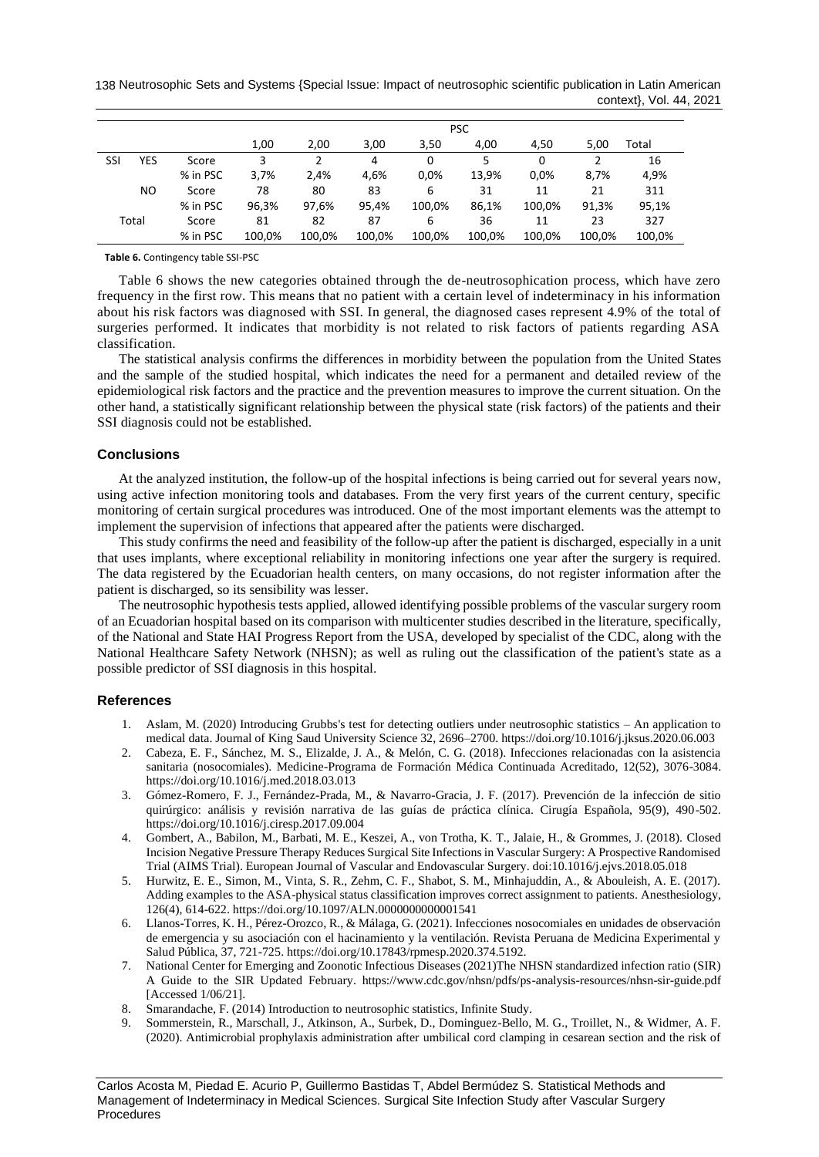138 Neutrosophic Sets and Systems {Special Issue: Impact of neutrosophic scientific publication in Latin American context}, Vol. 44, 2021

|     |       |          |        | <b>PSC</b>     |        |        |        |          |        |        |  |  |
|-----|-------|----------|--------|----------------|--------|--------|--------|----------|--------|--------|--|--|
|     |       |          | 1,00   | 2,00           | 3,00   | 3,50   | 4,00   | 4,50     | 5.00   | Total  |  |  |
| SSI | YES   | Score    | 3      | $\mathfrak{p}$ | 4      | 0      | 5      | $\Omega$ |        | 16     |  |  |
|     |       | % in PSC | 3,7%   | 2,4%           | 4,6%   | 0.0%   | 13,9%  | 0.0%     | 8,7%   | 4,9%   |  |  |
|     | NO.   | Score    | 78     | 80             | 83     | 6      | 31     | 11       | 21     | 311    |  |  |
|     |       | % in PSC | 96,3%  | 97,6%          | 95,4%  | 100.0% | 86,1%  | 100,0%   | 91,3%  | 95,1%  |  |  |
|     | Total | Score    | 81     | 82             | 87     | 6      | 36     | 11       | 23     | 327    |  |  |
|     |       | % in PSC | 100,0% | 100,0%         | 100.0% | 100.0% | 100,0% | 100.0%   | 100.0% | 100,0% |  |  |

**Table 6.** Contingency table SSI-PSC

Table 6 shows the new categories obtained through the de-neutrosophication process, which have zero frequency in the first row. This means that no patient with a certain level of indeterminacy in his information about his risk factors was diagnosed with SSI. In general, the diagnosed cases represent 4.9% of the total of surgeries performed. It indicates that morbidity is not related to risk factors of patients regarding ASA classification.

The statistical analysis confirms the differences in morbidity between the population from the United States and the sample of the studied hospital, which indicates the need for a permanent and detailed review of the epidemiological risk factors and the practice and the prevention measures to improve the current situation. On the other hand, a statistically significant relationship between the physical state (risk factors) of the patients and their SSI diagnosis could not be established.

### **Conclusions**

At the analyzed institution, the follow-up of the hospital infections is being carried out for several years now, using active infection monitoring tools and databases. From the very first years of the current century, specific monitoring of certain surgical procedures was introduced. One of the most important elements was the attempt to implement the supervision of infections that appeared after the patients were discharged.

This study confirms the need and feasibility of the follow-up after the patient is discharged, especially in a unit that uses implants, where exceptional reliability in monitoring infections one year after the surgery is required. The data registered by the Ecuadorian health centers, on many occasions, do not register information after the patient is discharged, so its sensibility was lesser.

The neutrosophic hypothesis tests applied, allowed identifying possible problems of the vascular surgery room of an Ecuadorian hospital based on its comparison with multicenter studies described in the literature, specifically, of the National and State HAI Progress Report from the USA, developed by specialist of the CDC, along with the National Healthcare Safety Network (NHSN); as well as ruling out the classification of the patient's state as a possible predictor of SSI diagnosis in this hospital.

#### **References**

- 1. Aslam, M. (2020) Introducing Grubbs's test for detecting outliers under neutrosophic statistics An application to medical data. Journal of King Saud University Science 32, 2696–2700. https://doi.org/10.1016/j.jksus.2020.06.003
- 2. Cabeza, E. F., Sánchez, M. S., Elizalde, J. A., & Melón, C. G. (2018). Infecciones relacionadas con la asistencia sanitaria (nosocomiales). Medicine-Programa de Formación Médica Continuada Acreditado, 12(52), 3076-3084. https://doi.org/10.1016/j.med.2018.03.013
- 3. Gómez-Romero, F. J., Fernández-Prada, M., & Navarro-Gracia, J. F. (2017). Prevención de la infección de sitio quirúrgico: análisis y revisión narrativa de las guías de práctica clínica. Cirugía Española, 95(9), 490-502. https://doi.org/10.1016/j.ciresp.2017.09.004
- 4. Gombert, A., Babilon, M., Barbati, M. E., Keszei, A., von Trotha, K. T., Jalaie, H., & Grommes, J. (2018). Closed Incision Negative Pressure Therapy Reduces Surgical Site Infections in Vascular Surgery: A Prospective Randomised Trial (AIMS Trial). European Journal of Vascular and Endovascular Surgery. doi:10.1016/j.ejvs.2018.05.018
- 5. Hurwitz, E. E., Simon, M., Vinta, S. R., Zehm, C. F., Shabot, S. M., Minhajuddin, A., & Abouleish, A. E. (2017). Adding examples to the ASA-physical status classification improves correct assignment to patients. Anesthesiology, 126(4), 614-622. https://doi.org/10.1097/ALN.0000000000001541
- 6. Llanos-Torres, K. H., Pérez-Orozco, R., & Málaga, G. (2021). Infecciones nosocomiales en unidades de observación de emergencia y su asociación con el hacinamiento y la ventilación. Revista Peruana de Medicina Experimental y Salud Pública, 37, 721-725. https://doi.org/10.17843/rpmesp.2020.374.5192.
- 7. National Center for Emerging and Zoonotic Infectious Diseases (2021)The NHSN standardized infection ratio (SIR) A Guide to the SIR Updated February. https://www.cdc.gov/nhsn/pdfs/ps-analysis-resources/nhsn-sir-guide.pdf [Accessed 1/06/21].
- 8. [Smarandache, F. \(2014\)](https://www.sciencedirect.com/science/article/pii/S1018364720300525#bb0120) Introduction to neutrosophic statistics, Infinite Study.
- 9. Sommerstein, R., Marschall, J., Atkinson, A., Surbek, D., Dominguez-Bello, M. G., Troillet, N., & Widmer, A. F. (2020). Antimicrobial prophylaxis administration after umbilical cord clamping in cesarean section and the risk of

Carlos Acosta M, Piedad E. Acurio P, Guillermo Bastidas T, Abdel Bermúdez S. Statistical Methods and Management of Indeterminacy in Medical Sciences. Surgical Site Infection Study after Vascular Surgery Procedures